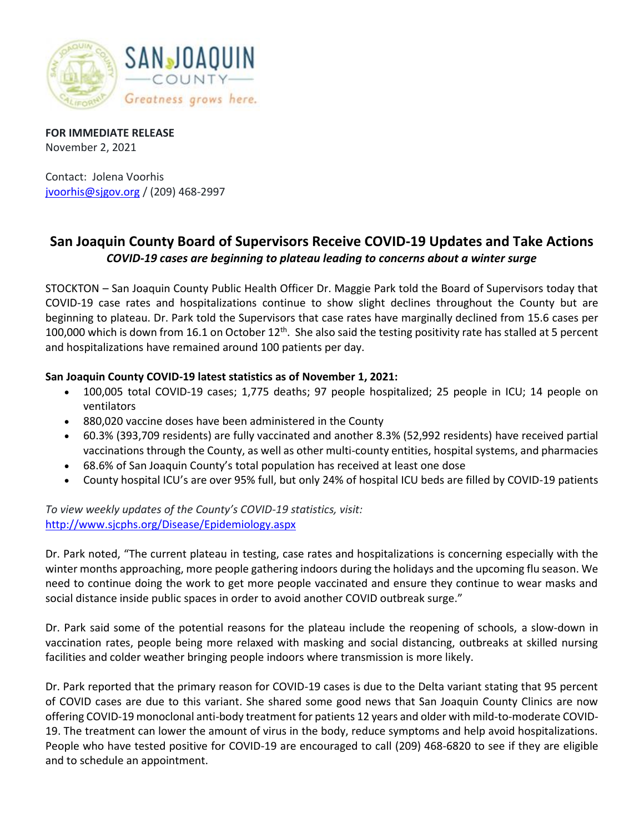

**FOR IMMEDIATE RELEASE** November 2, 2021

Contact: Jolena Voorhis [jvoorhis@sjgov.org](mailto:jvoorhis@sjgov.org) / (209) 468-2997

## **San Joaquin County Board of Supervisors Receive COVID-19 Updates and Take Actions** *COVID-19 cases are beginning to plateau leading to concerns about a winter surge*

STOCKTON – San Joaquin County Public Health Officer Dr. Maggie Park told the Board of Supervisors today that COVID-19 case rates and hospitalizations continue to show slight declines throughout the County but are beginning to plateau. Dr. Park told the Supervisors that case rates have marginally declined from 15.6 cases per 100,000 which is down from 16.1 on October 12<sup>th</sup>. She also said the testing positivity rate has stalled at 5 percent and hospitalizations have remained around 100 patients per day.

## **San Joaquin County COVID-19 latest statistics as of November 1, 2021:**

- 100,005 total COVID-19 cases; 1,775 deaths; 97 people hospitalized; 25 people in ICU; 14 people on ventilators
- 880,020 vaccine doses have been administered in the County
- 60.3% (393,709 residents) are fully vaccinated and another 8.3% (52,992 residents) have received partial vaccinations through the County, as well as other multi-county entities, hospital systems, and pharmacies
- 68.6% of San Joaquin County's total population has received at least one dose
- County hospital ICU's are over 95% full, but only 24% of hospital ICU beds are filled by COVID-19 patients

*To view weekly updates of the County's COVID-19 statistics, visit:*  <http://www.sjcphs.org/Disease/Epidemiology.aspx>

Dr. Park noted, "The current plateau in testing, case rates and hospitalizations is concerning especially with the winter months approaching, more people gathering indoors during the holidays and the upcoming flu season. We need to continue doing the work to get more people vaccinated and ensure they continue to wear masks and social distance inside public spaces in order to avoid another COVID outbreak surge."

Dr. Park said some of the potential reasons for the plateau include the reopening of schools, a slow-down in vaccination rates, people being more relaxed with masking and social distancing, outbreaks at skilled nursing facilities and colder weather bringing people indoors where transmission is more likely.

Dr. Park reported that the primary reason for COVID-19 cases is due to the Delta variant stating that 95 percent of COVID cases are due to this variant. She shared some good news that San Joaquin County Clinics are now offering COVID-19 monoclonal anti-body treatment for patients 12 years and older with mild-to-moderate COVID-19. The treatment can lower the amount of virus in the body, reduce symptoms and help avoid hospitalizations. People who have tested positive for COVID-19 are encouraged to call (209) 468-6820 to see if they are eligible and to schedule an appointment.